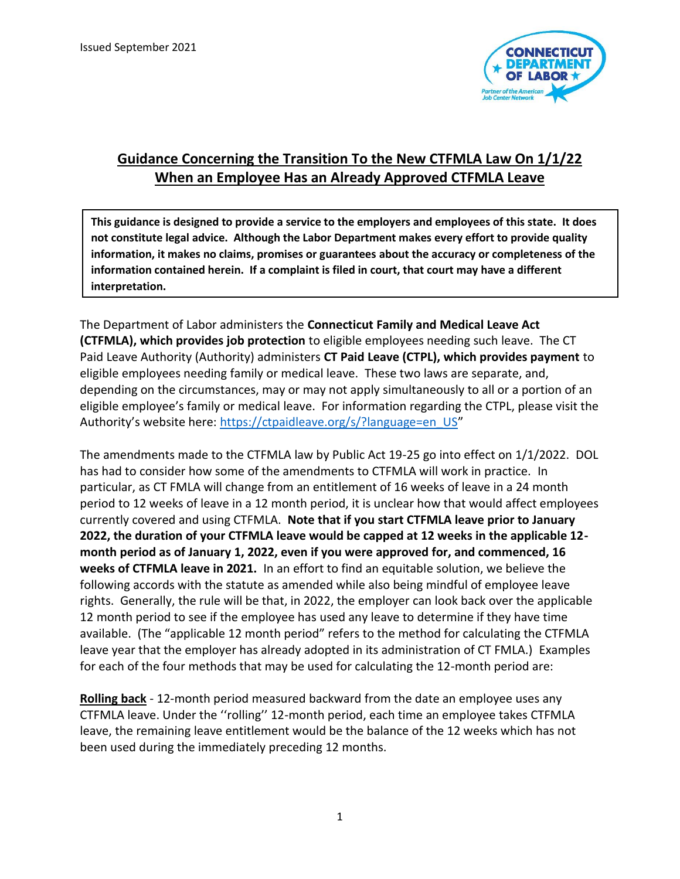

## **Guidance Concerning the Transition To the New CTFMLA Law On 1/1/22 When an Employee Has an Already Approved CTFMLA Leave**

**This guidance is designed to provide a service to the employers and employees of this state. It does not constitute legal advice. Although the Labor Department makes every effort to provide quality information, it makes no claims, promises or guarantees about the accuracy or completeness of the information contained herein. If a complaint is filed in court, that court may have a different interpretation.** 

The Department of Labor administers the **Connecticut Family and Medical Leave Act (CTFMLA), which provides job protection** to eligible employees needing such leave. The CT Paid Leave Authority (Authority) administers **CT Paid Leave (CTPL), which provides payment** to eligible employees needing family or medical leave. These two laws are separate, and, depending on the circumstances, may or may not apply simultaneously to all or a portion of an eligible employee's family or medical leave. For information regarding the CTPL, please visit the Authority's website here: [https://ctpaidleave.org/s/?language=en\\_US](https://ctpaidleave.org/s/?language=en_US)"

The amendments made to the CTFMLA law by Public Act 19-25 go into effect on 1/1/2022. DOL has had to consider how some of the amendments to CTFMLA will work in practice. In particular, as CT FMLA will change from an entitlement of 16 weeks of leave in a 24 month period to 12 weeks of leave in a 12 month period, it is unclear how that would affect employees currently covered and using CTFMLA. **Note that if you start CTFMLA leave prior to January 2022, the duration of your CTFMLA leave would be capped at 12 weeks in the applicable 12 month period as of January 1, 2022, even if you were approved for, and commenced, 16 weeks of CTFMLA leave in 2021.** In an effort to find an equitable solution, we believe the following accords with the statute as amended while also being mindful of employee leave rights. Generally, the rule will be that, in 2022, the employer can look back over the applicable 12 month period to see if the employee has used any leave to determine if they have time available. (The "applicable 12 month period" refers to the method for calculating the CTFMLA leave year that the employer has already adopted in its administration of CT FMLA.) Examples for each of the four methods that may be used for calculating the 12-month period are:

**Rolling back** - 12-month period measured backward from the date an employee uses any CTFMLA leave. Under the ''rolling'' 12-month period, each time an employee takes CTFMLA leave, the remaining leave entitlement would be the balance of the 12 weeks which has not been used during the immediately preceding 12 months.